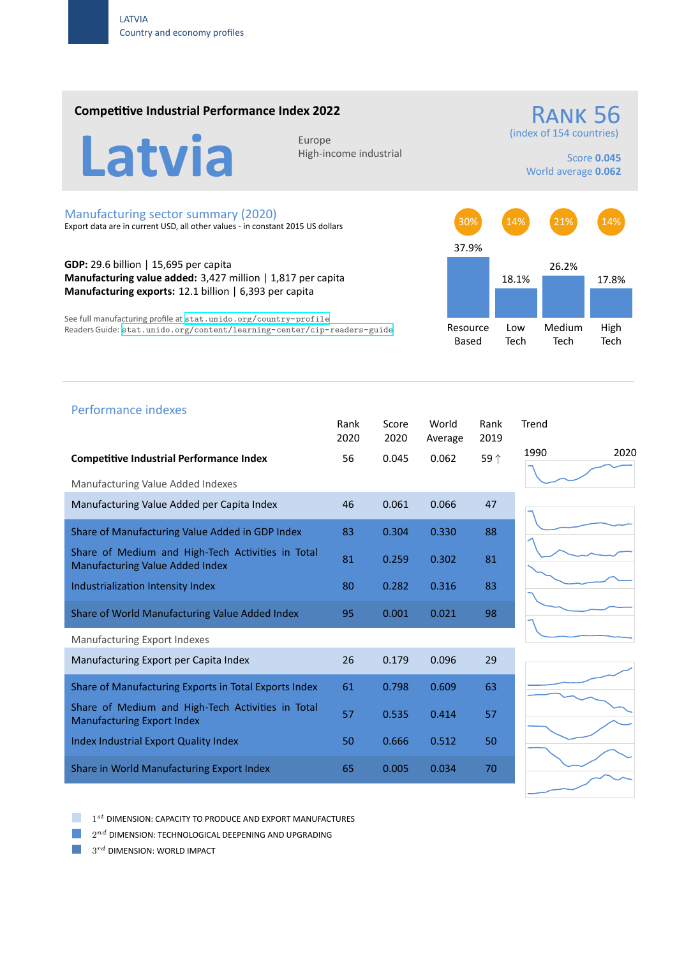### **Competitive Industrial Performance Index 2022**

RANK<sub>56</sub>

(index of 154 countries)

Latvia Europe

High‐income industrial

Score **0.045** World average **0.062**

#### Manufacturing sector summary (2020)

Export data are in current USD, all other values ‐ in constant 2015 US dollars

**GDP:** 29.6 billion | 15,695 per capita **Manufacturing value added:** 3,427 million | 1,817 per capita **Manufacturing exports:** 12.1 billion | 6,393 per capita

See full manufacturing profile at stat.unido.org/country-profile Readers Guide: stat.unido.org/content/learning-center/cip-readers-guide



# 1990 2020 Performance indexes Rank Score World Rank Trend 2020 2020 Average 2019 **Competitive Industrial Performance Index** 56 0.045 0.062 59 *↑* Manufacturing Value Added Indexes Manufacturing Value Added per Capita Index  $46$  0.061 0.066 47 Share of Manufacturing Value Added in GDP Index 83 0.304 0.330 88 Share of Medium and High‐Tech Activities in Total Share of Medium and High-fech Activities in Total 81 0.259 0.302 81 Industrialization Intensity Index 80 0.282 0.316 83 Share of World Manufacturing Value Added Index 95 0.001 0.021 98 Manufacturing Export Indexes Manufacturing Export per Capita Index 26 0.179 0.096 29 Share of Manufacturing Exports in Total Exports Index 61 0.798 0.609 63 Share of Medium and High‐Tech Activities in Total Share of Medium and High-fech Activities in Total 57 0.535 0.414 57<br>Manufacturing Export Index Index Industrial Export Quality Index 50 0.666 0.512 50 Share in World Manufacturing Export Index 65 0.005 0.034 70

a a 1 *st* DIMENSION: CAPACITY TO PRODUCE AND EXPORT MANUFACTURES

 $2^{nd}$  DIMENSION: TECHNOLOGICAL DEEPENING AND UPGRADING

 $3^{rd}$  DIMENSION: WORLD IMPACT